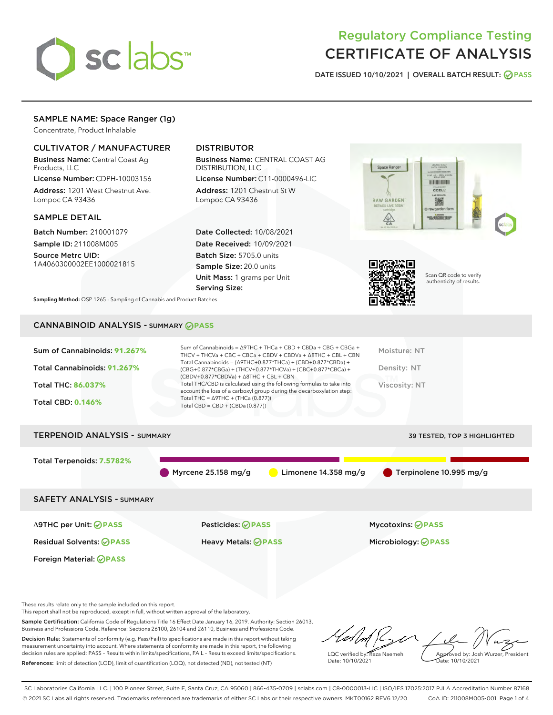

# Regulatory Compliance Testing CERTIFICATE OF ANALYSIS

DATE ISSUED 10/10/2021 | OVERALL BATCH RESULT: @ PASS

# SAMPLE NAME: Space Ranger (1g)

Concentrate, Product Inhalable

# CULTIVATOR / MANUFACTURER

Business Name: Central Coast Ag Products, LLC

License Number: CDPH-10003156 Address: 1201 West Chestnut Ave. Lompoc CA 93436

#### SAMPLE DETAIL

Batch Number: 210001079 Sample ID: 211008M005

Source Metrc UID: 1A4060300002EE1000021815

# DISTRIBUTOR

Business Name: CENTRAL COAST AG DISTRIBUTION, LLC

License Number: C11-0000496-LIC Address: 1201 Chestnut St W Lompoc CA 93436

Date Collected: 10/08/2021 Date Received: 10/09/2021 Batch Size: 5705.0 units Sample Size: 20.0 units Unit Mass: 1 grams per Unit Serving Size:





Scan QR code to verify authenticity of results.

Sampling Method: QSP 1265 - Sampling of Cannabis and Product Batches

# CANNABINOID ANALYSIS - SUMMARY **PASS**

| Sum of Cannabinoids: 91.267%<br>Total Cannabinoids: 91.267%<br><b>Total THC: 86.037%</b><br><b>Total CBD: 0.146%</b> | Sum of Cannabinoids = $\triangle$ 9THC + THCa + CBD + CBDa + CBG + CBGa +<br>THCV + THCVa + CBC + CBCa + CBDV + CBDVa + $\Delta$ 8THC + CBL + CBN<br>Total Cannabinoids = $(\Delta$ 9THC+0.877*THCa) + (CBD+0.877*CBDa) +<br>(CBG+0.877*CBGa) + (THCV+0.877*THCVa) + (CBC+0.877*CBCa) +<br>$(CBDV+0.877*CBDVa) + \Delta 8THC + CBL + CBN$<br>Total THC/CBD is calculated using the following formulas to take into<br>account the loss of a carboxyl group during the decarboxylation step:<br>Total THC = $\triangle$ 9THC + (THCa (0.877))<br>Total CBD = CBD + (CBDa (0.877)) | Moisture: NT<br>Density: NT<br>Viscosity: NT           |  |  |  |  |
|----------------------------------------------------------------------------------------------------------------------|----------------------------------------------------------------------------------------------------------------------------------------------------------------------------------------------------------------------------------------------------------------------------------------------------------------------------------------------------------------------------------------------------------------------------------------------------------------------------------------------------------------------------------------------------------------------------------|--------------------------------------------------------|--|--|--|--|
| <b>TERPENOID ANALYSIS - SUMMARY</b>                                                                                  |                                                                                                                                                                                                                                                                                                                                                                                                                                                                                                                                                                                  | 39 TESTED, TOP 3 HIGHLIGHTED                           |  |  |  |  |
| Total Terpenoids: 7.5782%                                                                                            | Myrcene 25.158 mg/g<br>Limonene $14.358$ mg/g                                                                                                                                                                                                                                                                                                                                                                                                                                                                                                                                    | Terpinolene 10.995 mg/g                                |  |  |  |  |
| <b>SAFETY ANALYSIS - SUMMARY</b>                                                                                     |                                                                                                                                                                                                                                                                                                                                                                                                                                                                                                                                                                                  |                                                        |  |  |  |  |
| $\triangle$ 9THC per Unit: $\odot$ PASS<br><b>Residual Solvents: ⊘PASS</b>                                           | Pesticides: ⊘PASS<br>Heavy Metals: <b>OPASS</b>                                                                                                                                                                                                                                                                                                                                                                                                                                                                                                                                  | <b>Mycotoxins: ⊘PASS</b><br>Microbiology: <b>OPASS</b> |  |  |  |  |

These results relate only to the sample included on this report.

Foreign Material: **PASS**

This report shall not be reproduced, except in full, without written approval of the laboratory.

Sample Certification: California Code of Regulations Title 16 Effect Date January 16, 2019. Authority: Section 26013, Business and Professions Code. Reference: Sections 26100, 26104 and 26110, Business and Professions Code. Decision Rule: Statements of conformity (e.g. Pass/Fail) to specifications are made in this report without taking

measurement uncertainty into account. Where statements of conformity are made in this report, the following decision rules are applied: PASS – Results within limits/specifications, FAIL – Results exceed limits/specifications. References: limit of detection (LOD), limit of quantification (LOQ), not detected (ND), not tested (NT)

 $M/L$ Approved by: Josh Wurzer, President LQC verified by: Reza Naemeh Date: 10/10/2021 ate: 10/10/2021

SC Laboratories California LLC. | 100 Pioneer Street, Suite E, Santa Cruz, CA 95060 | 866-435-0709 | sclabs.com | C8-0000013-LIC | ISO/IES 17025:2017 PJLA Accreditation Number 87168 © 2021 SC Labs all rights reserved. Trademarks referenced are trademarks of either SC Labs or their respective owners. MKT00162 REV6 12/20 CoA ID: 211008M005-001 Page 1 of 4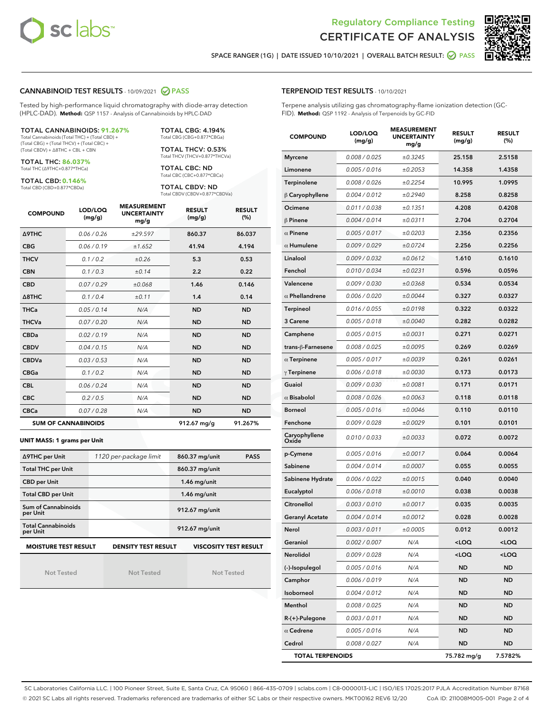



SPACE RANGER (1G) | DATE ISSUED 10/10/2021 | OVERALL BATCH RESULT: @ PASS

#### CANNABINOID TEST RESULTS - 10/09/2021 2 PASS

Tested by high-performance liquid chromatography with diode-array detection (HPLC-DAD). **Method:** QSP 1157 - Analysis of Cannabinoids by HPLC-DAD

#### TOTAL CANNABINOIDS: **91.267%**

Total Cannabinoids (Total THC) + (Total CBD) + (Total CBG) + (Total THCV) + (Total CBC) + (Total CBDV) + ∆8THC + CBL + CBN

TOTAL THC: **86.037%** Total THC (∆9THC+0.877\*THCa)

TOTAL CBD: **0.146%**

Total CBD (CBD+0.877\*CBDa)

TOTAL CBG: 4.194% Total CBG (CBG+0.877\*CBGa)

TOTAL THCV: 0.53% Total THCV (THCV+0.877\*THCVa)

TOTAL CBC: ND Total CBC (CBC+0.877\*CBCa)

TOTAL CBDV: ND Total CBDV (CBDV+0.877\*CBDVa)

| <b>COMPOUND</b>            | LOD/LOQ<br>(mg/g) | <b>MEASUREMENT</b><br><b>UNCERTAINTY</b><br>mg/g | <b>RESULT</b><br>(mg/g) | <b>RESULT</b><br>(%) |
|----------------------------|-------------------|--------------------------------------------------|-------------------------|----------------------|
| <b>A9THC</b>               | 0.06 / 0.26       | ±29.597                                          | 860.37                  | 86.037               |
| <b>CBG</b>                 | 0.06/0.19         | ±1.652                                           | 41.94                   | 4.194                |
| <b>THCV</b>                | 0.1 / 0.2         | ±0.26                                            | 5.3                     | 0.53                 |
| <b>CBN</b>                 | 0.1 / 0.3         | ±0.14                                            | 2.2                     | 0.22                 |
| <b>CBD</b>                 | 0.07/0.29         | ±0.068                                           | 1.46                    | 0.146                |
| $\triangle$ 8THC           | 0.1 / 0.4         | ±0.11                                            | 1.4                     | 0.14                 |
| <b>THCa</b>                | 0.05/0.14         | N/A                                              | <b>ND</b>               | <b>ND</b>            |
| <b>THCVa</b>               | 0.07/0.20         | N/A                                              | <b>ND</b>               | <b>ND</b>            |
| <b>CBDa</b>                | 0.02/0.19         | N/A                                              | <b>ND</b>               | <b>ND</b>            |
| <b>CBDV</b>                | 0.04/0.15         | N/A                                              | <b>ND</b>               | <b>ND</b>            |
| <b>CBDVa</b>               | 0.03/0.53         | N/A                                              | <b>ND</b>               | <b>ND</b>            |
| <b>CBGa</b>                | 0.1/0.2           | N/A                                              | <b>ND</b>               | <b>ND</b>            |
| <b>CBL</b>                 | 0.06 / 0.24       | N/A                                              | <b>ND</b>               | <b>ND</b>            |
| <b>CBC</b>                 | 0.2 / 0.5         | N/A                                              | <b>ND</b>               | <b>ND</b>            |
| <b>CBCa</b>                | 0.07 / 0.28       | N/A                                              | <b>ND</b>               | <b>ND</b>            |
| <b>SUM OF CANNABINOIDS</b> |                   |                                                  | 912.67 mg/g             | 91.267%              |

#### **UNIT MASS: 1 grams per Unit**

| ∆9THC per Unit                                                                            | 1120 per-package limit | 860.37 mg/unit<br><b>PASS</b> |  |  |
|-------------------------------------------------------------------------------------------|------------------------|-------------------------------|--|--|
| <b>Total THC per Unit</b>                                                                 |                        | 860.37 mg/unit                |  |  |
| <b>CBD per Unit</b>                                                                       |                        | $1.46$ mg/unit                |  |  |
| <b>Total CBD per Unit</b>                                                                 |                        | $1.46$ mg/unit                |  |  |
| Sum of Cannabinoids<br>per Unit                                                           |                        | 912.67 mg/unit                |  |  |
| <b>Total Cannabinoids</b><br>per Unit                                                     |                        | 912.67 mg/unit                |  |  |
| <b>MOISTURE TEST RESULT</b><br><b>DENSITY TEST RESULT</b><br><b>VISCOSITY TEST RESULT</b> |                        |                               |  |  |

Not Tested

Not Tested

Not Tested

#### TERPENOID TEST RESULTS - 10/10/2021

Terpene analysis utilizing gas chromatography-flame ionization detection (GC-FID). **Method:** QSP 1192 - Analysis of Terpenoids by GC-FID

| <b>COMPOUND</b>         | LOD/LOQ<br>(mg/g) | <b>MEASUREMENT</b><br><b>UNCERTAINTY</b><br>mg/g | <b>RESULT</b><br>(mg/g)                         | <b>RESULT</b><br>(%) |
|-------------------------|-------------------|--------------------------------------------------|-------------------------------------------------|----------------------|
| <b>Myrcene</b>          | 0.008 / 0.025     | ±0.3245                                          | 25.158                                          | 2.5158               |
| Limonene                | 0.005 / 0.016     | ±0.2053                                          | 14.358                                          | 1.4358               |
| Terpinolene             | 0.008 / 0.026     | ±0.2254                                          | 10.995                                          | 1.0995               |
| $\beta$ Caryophyllene   | 0.004 / 0.012     | ±0.2940                                          | 8.258                                           | 0.8258               |
| Ocimene                 | 0.011 / 0.038     | ±0.1351                                          | 4.208                                           | 0.4208               |
| $\beta$ Pinene          | 0.004 / 0.014     | ±0.0311                                          | 2.704                                           | 0.2704               |
| $\alpha$ Pinene         | 0.005 / 0.017     | ±0.0203                                          | 2.356                                           | 0.2356               |
| $\alpha$ Humulene       | 0.009/0.029       | ±0.0724                                          | 2.256                                           | 0.2256               |
| Linalool                | 0.009 / 0.032     | ±0.0612                                          | 1.610                                           | 0.1610               |
| Fenchol                 | 0.010 / 0.034     | ±0.0231                                          | 0.596                                           | 0.0596               |
| Valencene               | 0.009 / 0.030     | ±0.0368                                          | 0.534                                           | 0.0534               |
| $\alpha$ Phellandrene   | 0.006 / 0.020     | ±0.0044                                          | 0.327                                           | 0.0327               |
| <b>Terpineol</b>        | 0.016 / 0.055     | ±0.0198                                          | 0.322                                           | 0.0322               |
| 3 Carene                | 0.005 / 0.018     | ±0.0040                                          | 0.282                                           | 0.0282               |
| Camphene                | 0.005 / 0.015     | ±0.0031                                          | 0.271                                           | 0.0271               |
| trans-ß-Farnesene       | 0.008 / 0.025     | ±0.0095                                          | 0.269                                           | 0.0269               |
| $\alpha$ Terpinene      | 0.005 / 0.017     | ±0.0039                                          | 0.261                                           | 0.0261               |
| $\gamma$ Terpinene      | 0.006 / 0.018     | ±0.0030                                          | 0.173                                           | 0.0173               |
| Guaiol                  | 0.009 / 0.030     | ±0.0081                                          | 0.171                                           | 0.0171               |
| $\alpha$ Bisabolol      | 0.008 / 0.026     | ±0.0063                                          | 0.118                                           | 0.0118               |
| <b>Borneol</b>          | 0.005 / 0.016     | ±0.0046                                          | 0.110                                           | 0.0110               |
| Fenchone                | 0.009 / 0.028     | ±0.0029                                          | 0.101                                           | 0.0101               |
| Caryophyllene<br>Oxide  | 0.010 / 0.033     | ±0.0033                                          | 0.072                                           | 0.0072               |
| p-Cymene                | 0.005 / 0.016     | ±0.0017                                          | 0.064                                           | 0.0064               |
| Sabinene                | 0.004 / 0.014     | ±0.0007                                          | 0.055                                           | 0.0055               |
| Sabinene Hydrate        | 0.006 / 0.022     | ±0.0015                                          | 0.040                                           | 0.0040               |
| Eucalyptol              | 0.006 / 0.018     | ±0.0010                                          | 0.038                                           | 0.0038               |
| Citronellol             | 0.003 / 0.010     | ±0.0017                                          | 0.035                                           | 0.0035               |
| <b>Geranyl Acetate</b>  | 0.004 / 0.014     | ±0.0012                                          | 0.028                                           | 0.0028               |
| Nerol                   | 0.003/0.011       | ±0.0005                                          | 0.012                                           | 0.0012               |
| Geraniol                | 0.002 / 0.007     | N/A                                              | <loq< th=""><th><loq< th=""></loq<></th></loq<> | <loq< th=""></loq<>  |
| Nerolidol               | 0.009 / 0.028     | N/A                                              | <loq< th=""><th><loq< th=""></loq<></th></loq<> | <loq< th=""></loq<>  |
| (-)-Isopulegol          | 0.005 / 0.016     | N/A                                              | ND                                              | <b>ND</b>            |
| Camphor                 | 0.006 / 0.019     | N/A                                              | <b>ND</b>                                       | <b>ND</b>            |
| Isoborneol              | 0.004 / 0.012     | N/A                                              | <b>ND</b>                                       | <b>ND</b>            |
| Menthol                 | 0.008 / 0.025     | N/A                                              | ND                                              | <b>ND</b>            |
| $R-(+)$ -Pulegone       | 0.003 / 0.011     | N/A                                              | <b>ND</b>                                       | <b>ND</b>            |
| $\alpha$ Cedrene        | 0.005 / 0.016     | N/A                                              | ND                                              | ND                   |
| Cedrol                  | 0.008 / 0.027     | N/A                                              | <b>ND</b>                                       | <b>ND</b>            |
| <b>TOTAL TERPENOIDS</b> |                   |                                                  | 75.782 mg/g                                     | 7.5782%              |

SC Laboratories California LLC. | 100 Pioneer Street, Suite E, Santa Cruz, CA 95060 | 866-435-0709 | sclabs.com | C8-0000013-LIC | ISO/IES 17025:2017 PJLA Accreditation Number 87168 © 2021 SC Labs all rights reserved. Trademarks referenced are trademarks of either SC Labs or their respective owners. MKT00162 REV6 12/20 CoA ID: 211008M005-001 Page 2 of 4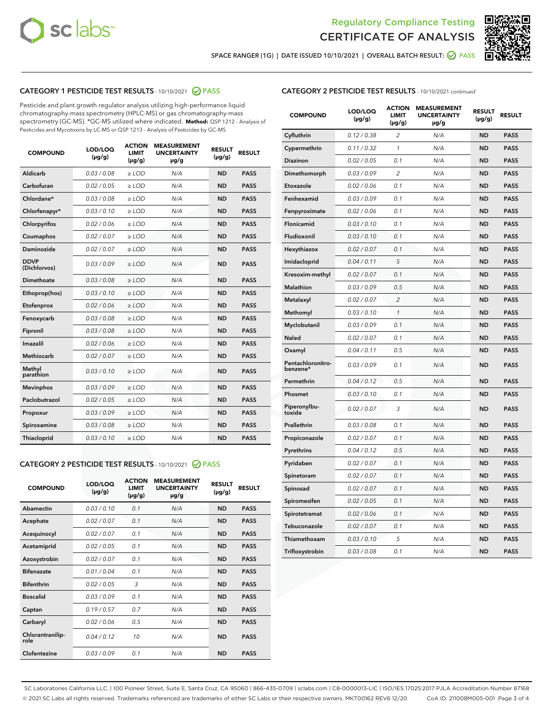



SPACE RANGER (1G) | DATE ISSUED 10/10/2021 | OVERALL BATCH RESULT:  $\bigcirc$  PASS

# CATEGORY 1 PESTICIDE TEST RESULTS - 10/10/2021 2 PASS

Pesticide and plant growth regulator analysis utilizing high-performance liquid chromatography-mass spectrometry (HPLC-MS) or gas chromatography-mass spectrometry (GC-MS). \*GC-MS utilized where indicated. **Method:** QSP 1212 - Analysis of Pesticides and Mycotoxins by LC-MS or QSP 1213 - Analysis of Pesticides by GC-MS

| <b>COMPOUND</b>             | LOD/LOQ<br>$(\mu g/g)$ | <b>ACTION</b><br><b>LIMIT</b><br>$(\mu g/g)$ | <b>MEASUREMENT</b><br><b>UNCERTAINTY</b><br>µg/g | <b>RESULT</b><br>$(\mu g/g)$ | <b>RESULT</b> |
|-----------------------------|------------------------|----------------------------------------------|--------------------------------------------------|------------------------------|---------------|
| Aldicarb                    | 0.03/0.08              | $>$ LOD                                      | N/A                                              | <b>ND</b>                    | <b>PASS</b>   |
| Carbofuran                  | 0.02 / 0.05            | $\ge$ LOD                                    | N/A                                              | <b>ND</b>                    | <b>PASS</b>   |
| Chlordane*                  | 0.03/0.08              | $>$ LOD                                      | N/A                                              | <b>ND</b>                    | <b>PASS</b>   |
| Chlorfenapyr*               | 0.03/0.10              | $\ge$ LOD                                    | N/A                                              | <b>ND</b>                    | <b>PASS</b>   |
| Chlorpyrifos                | 0.02 / 0.06            | $\ge$ LOD                                    | N/A                                              | <b>ND</b>                    | <b>PASS</b>   |
| Coumaphos                   | 0.02 / 0.07            | $\ge$ LOD                                    | N/A                                              | <b>ND</b>                    | <b>PASS</b>   |
| Daminozide                  | 0.02 / 0.07            | $\ge$ LOD                                    | N/A                                              | <b>ND</b>                    | <b>PASS</b>   |
| <b>DDVP</b><br>(Dichlorvos) | 0.03/0.09              | $\ge$ LOD                                    | N/A                                              | <b>ND</b>                    | <b>PASS</b>   |
| <b>Dimethoate</b>           | 0.03 / 0.08            | $\ge$ LOD                                    | N/A                                              | <b>ND</b>                    | <b>PASS</b>   |
| Ethoprop(hos)               | 0.03/0.10              | $\ge$ LOD                                    | N/A                                              | <b>ND</b>                    | <b>PASS</b>   |
| Etofenprox                  | 0.02 / 0.06            | $\ge$ LOD                                    | N/A                                              | <b>ND</b>                    | <b>PASS</b>   |
| Fenoxycarb                  | 0.03 / 0.08            | $\ge$ LOD                                    | N/A                                              | <b>ND</b>                    | <b>PASS</b>   |
| Fipronil                    | 0.03/0.08              | $>$ LOD                                      | N/A                                              | <b>ND</b>                    | <b>PASS</b>   |
| Imazalil                    | 0.02 / 0.06            | $\ge$ LOD                                    | N/A                                              | <b>ND</b>                    | <b>PASS</b>   |
| Methiocarb                  | 0.02 / 0.07            | $\ge$ LOD                                    | N/A                                              | <b>ND</b>                    | <b>PASS</b>   |
| Methyl<br>parathion         | 0.03/0.10              | $\ge$ LOD                                    | N/A                                              | <b>ND</b>                    | <b>PASS</b>   |
| <b>Mevinphos</b>            | 0.03/0.09              | $\ge$ LOD                                    | N/A                                              | <b>ND</b>                    | <b>PASS</b>   |
| Paclobutrazol               | 0.02 / 0.05            | $>$ LOD                                      | N/A                                              | <b>ND</b>                    | <b>PASS</b>   |
| Propoxur                    | 0.03/0.09              | $\ge$ LOD                                    | N/A                                              | <b>ND</b>                    | <b>PASS</b>   |
| Spiroxamine                 | 0.03 / 0.08            | $\ge$ LOD                                    | N/A                                              | <b>ND</b>                    | <b>PASS</b>   |
| Thiacloprid                 | 0.03/0.10              | $\ge$ LOD                                    | N/A                                              | <b>ND</b>                    | <b>PASS</b>   |

#### CATEGORY 2 PESTICIDE TEST RESULTS - 10/10/2021 @ PASS

| <b>COMPOUND</b>          | LOD/LOQ<br>$(\mu g/g)$ | <b>ACTION</b><br><b>LIMIT</b><br>$(\mu g/g)$ | <b>MEASUREMENT</b><br><b>UNCERTAINTY</b><br>$\mu$ g/g | <b>RESULT</b><br>$(\mu g/g)$ | <b>RESULT</b> |
|--------------------------|------------------------|----------------------------------------------|-------------------------------------------------------|------------------------------|---------------|
| Abamectin                | 0.03/0.10              | 0.1                                          | N/A                                                   | <b>ND</b>                    | <b>PASS</b>   |
| Acephate                 | 0.02/0.07              | 0.1                                          | N/A                                                   | <b>ND</b>                    | <b>PASS</b>   |
| Acequinocyl              | 0.02/0.07              | 0.1                                          | N/A                                                   | <b>ND</b>                    | <b>PASS</b>   |
| Acetamiprid              | 0.02/0.05              | 0.1                                          | N/A                                                   | <b>ND</b>                    | <b>PASS</b>   |
| Azoxystrobin             | 0.02/0.07              | 0.1                                          | N/A                                                   | <b>ND</b>                    | <b>PASS</b>   |
| <b>Bifenazate</b>        | 0.01/0.04              | 0.1                                          | N/A                                                   | <b>ND</b>                    | <b>PASS</b>   |
| <b>Bifenthrin</b>        | 0.02 / 0.05            | 3                                            | N/A                                                   | <b>ND</b>                    | <b>PASS</b>   |
| <b>Boscalid</b>          | 0.03/0.09              | 0.1                                          | N/A                                                   | <b>ND</b>                    | <b>PASS</b>   |
| Captan                   | 0.19/0.57              | 0.7                                          | N/A                                                   | <b>ND</b>                    | <b>PASS</b>   |
| Carbaryl                 | 0.02/0.06              | 0.5                                          | N/A                                                   | <b>ND</b>                    | <b>PASS</b>   |
| Chlorantranilip-<br>role | 0.04/0.12              | 10                                           | N/A                                                   | <b>ND</b>                    | <b>PASS</b>   |
| Clofentezine             | 0.03/0.09              | 0.1                                          | N/A                                                   | <b>ND</b>                    | <b>PASS</b>   |

| <b>CATEGORY 2 PESTICIDE TEST RESULTS</b> - 10/10/2021 continued |  |  |
|-----------------------------------------------------------------|--|--|
|                                                                 |  |  |

| <b>COMPOUND</b>               | LOD/LOQ<br>$(\mu g/g)$ | <b>ACTION</b><br>LIMIT<br>(µg/g) | <b>MEASUREMENT</b><br><b>UNCERTAINTY</b><br>µg/g | <b>RESULT</b><br>$(\mu g/g)$ | <b>RESULT</b> |
|-------------------------------|------------------------|----------------------------------|--------------------------------------------------|------------------------------|---------------|
| Cyfluthrin                    | 0.12 / 0.38            | $\overline{2}$                   | N/A                                              | <b>ND</b>                    | <b>PASS</b>   |
| Cypermethrin                  | 0.11/0.32              | 1                                | N/A                                              | <b>ND</b>                    | <b>PASS</b>   |
| Diazinon                      | 0.02 / 0.05            | 0.1                              | N/A                                              | <b>ND</b>                    | <b>PASS</b>   |
| Dimethomorph                  | 0.03 / 0.09            | $\overline{2}$                   | N/A                                              | <b>ND</b>                    | <b>PASS</b>   |
| Etoxazole                     | 0.02 / 0.06            | 0.1                              | N/A                                              | <b>ND</b>                    | <b>PASS</b>   |
| Fenhexamid                    | 0.03 / 0.09            | 0.1                              | N/A                                              | <b>ND</b>                    | <b>PASS</b>   |
| Fenpyroximate                 | 0.02 / 0.06            | 0.1                              | N/A                                              | <b>ND</b>                    | <b>PASS</b>   |
| Flonicamid                    | 0.03 / 0.10            | 0.1                              | N/A                                              | <b>ND</b>                    | <b>PASS</b>   |
| Fludioxonil                   | 0.03 / 0.10            | 0.1                              | N/A                                              | <b>ND</b>                    | <b>PASS</b>   |
| Hexythiazox                   | 0.02 / 0.07            | 0.1                              | N/A                                              | <b>ND</b>                    | <b>PASS</b>   |
| Imidacloprid                  | 0.04 / 0.11            | 5                                | N/A                                              | <b>ND</b>                    | <b>PASS</b>   |
| Kresoxim-methyl               | 0.02 / 0.07            | 0.1                              | N/A                                              | <b>ND</b>                    | <b>PASS</b>   |
| Malathion                     | 0.03 / 0.09            | 0.5                              | N/A                                              | <b>ND</b>                    | <b>PASS</b>   |
| Metalaxyl                     | 0.02 / 0.07            | $\overline{c}$                   | N/A                                              | <b>ND</b>                    | <b>PASS</b>   |
| Methomyl                      | 0.03 / 0.10            | 1                                | N/A                                              | <b>ND</b>                    | <b>PASS</b>   |
| Myclobutanil                  | 0.03 / 0.09            | 0.1                              | N/A                                              | <b>ND</b>                    | <b>PASS</b>   |
| Naled                         | 0.02 / 0.07            | 0.1                              | N/A                                              | <b>ND</b>                    | <b>PASS</b>   |
| Oxamyl                        | 0.04 / 0.11            | 0.5                              | N/A                                              | ND                           | <b>PASS</b>   |
| Pentachloronitro-<br>benzene* | 0.03 / 0.09            | 0.1                              | N/A                                              | <b>ND</b>                    | <b>PASS</b>   |
| Permethrin                    | 0.04/0.12              | 0.5                              | N/A                                              | <b>ND</b>                    | <b>PASS</b>   |
| Phosmet                       | 0.03 / 0.10            | 0.1                              | N/A                                              | <b>ND</b>                    | <b>PASS</b>   |
| Piperonylbu-<br>toxide        | 0.02 / 0.07            | 3                                | N/A                                              | <b>ND</b>                    | <b>PASS</b>   |
| Prallethrin                   | 0.03 / 0.08            | 0.1                              | N/A                                              | <b>ND</b>                    | <b>PASS</b>   |
| Propiconazole                 | 0.02 / 0.07            | 0.1                              | N/A                                              | <b>ND</b>                    | <b>PASS</b>   |
| Pyrethrins                    | 0.04 / 0.12            | 0.5                              | N/A                                              | <b>ND</b>                    | <b>PASS</b>   |
| Pyridaben                     | 0.02 / 0.07            | 0.1                              | N/A                                              | <b>ND</b>                    | <b>PASS</b>   |
| Spinetoram                    | 0.02 / 0.07            | 0.1                              | N/A                                              | <b>ND</b>                    | <b>PASS</b>   |
| Spinosad                      | 0.02 / 0.07            | 0.1                              | N/A                                              | <b>ND</b>                    | <b>PASS</b>   |
| Spiromesifen                  | 0.02 / 0.05            | 0.1                              | N/A                                              | ND                           | <b>PASS</b>   |
| Spirotetramat                 | 0.02 / 0.06            | 0.1                              | N/A                                              | <b>ND</b>                    | <b>PASS</b>   |
| Tebuconazole                  | 0.02 / 0.07            | 0.1                              | N/A                                              | <b>ND</b>                    | <b>PASS</b>   |
| Thiamethoxam                  | 0.03 / 0.10            | 5                                | N/A                                              | <b>ND</b>                    | <b>PASS</b>   |
| Trifloxystrobin               | 0.03 / 0.08            | 0.1                              | N/A                                              | <b>ND</b>                    | <b>PASS</b>   |

SC Laboratories California LLC. | 100 Pioneer Street, Suite E, Santa Cruz, CA 95060 | 866-435-0709 | sclabs.com | C8-0000013-LIC | ISO/IES 17025:2017 PJLA Accreditation Number 87168 © 2021 SC Labs all rights reserved. Trademarks referenced are trademarks of either SC Labs or their respective owners. MKT00162 REV6 12/20 CoA ID: 211008M005-001 Page 3 of 4